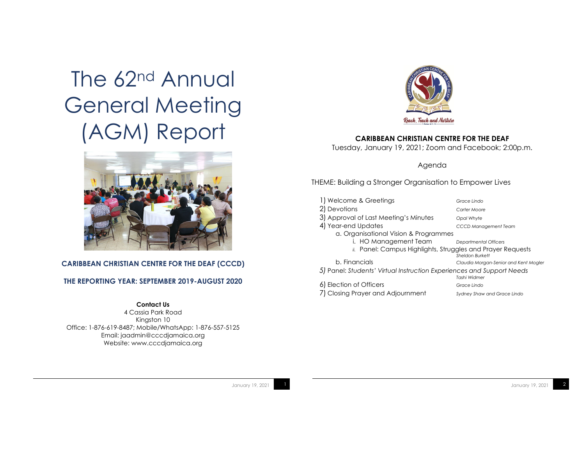# The 62<sup>nd</sup> Annual General Meeting (AGM) Report



#### **CARIBBEAN CHRISTIAN CENTRE FOR THE DEAF (CCCD)**

#### **THE REPORTING YEAR: SEPTEMBER 2019-AUGUST 2020**

#### **Contact Us**

4 Cassia Park Road Kingston 10 Office: 1-876-619-8487; Mobile/WhatsApp: 1-876-557-5125 Email: jaadmin@cccdjamaica.org Website: www.cccdjamaica.org



#### **CARIBBEAN CHRISTIAN CENTRE FOR THE DEAF**

Tuesday, January 19, 2021; Zoom and Facebook; 2:00p.m.

Agenda

#### THEME: Building a Stronger Organisation to Empower Lives

| 1) Welcome & Greetings                                                | Grace Lindo                           |
|-----------------------------------------------------------------------|---------------------------------------|
| 2) Devotions                                                          | Carter Moore                          |
| 3) Approval of Last Meeting's Minutes                                 | Opal Whyte                            |
| 4) Year-end Updates                                                   | <b>CCCD Management Team</b>           |
| a. Organisational Vision & Programmes                                 |                                       |
| i. HO Management Team                                                 | <b>Departmental Officers</b>          |
| ii. Panel: Campus Highlights, Struggles and Prayer Requests           |                                       |
|                                                                       | <b>Sheldon Burkett</b>                |
| b. Financials                                                         | Claudia Morgan-Senior and Kent Mogler |
| 5) Panel: Students' Virtual Instruction Experiences and Support Needs | Tashi Widmer                          |
| 6) Election of Officers                                               | Grace Lindo                           |
| Closing Prayer and Adjournment                                        | Sydney Shaw and Grace Lindo           |
|                                                                       |                                       |

January 19, 2021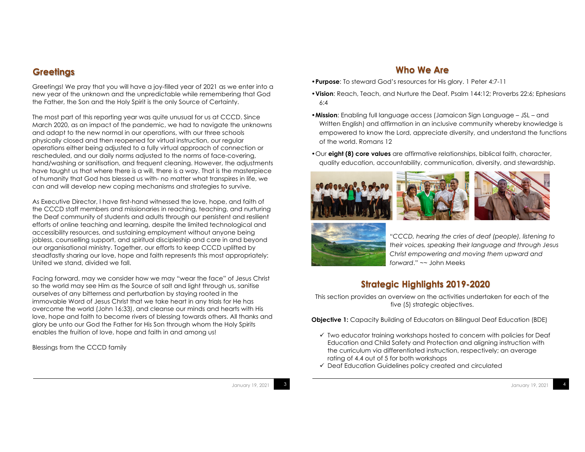## **Greetings**

Greetings! We pray that you will have a joy-filled year of 2021 as we enter into a new year of the unknown and the unpredictable while remembering that God the Father, the Son and the Holy Spirit is the only Source of Certainty.

The most part of this reporting year was quite unusual for us at CCCD. Since March 2020, as an impact of the pandemic, we had to navigate the unknowns and adapt to the new normal in our operations, with our three schools physically closed and then reopened for virtual instruction, our regular operations either being adjusted to a fully virtual approach of connection or rescheduled, and our daily norms adjusted to the norms of face-covering, hand/washing or sanitisation, and frequent cleaning. However, the adjustments have taught us that where there is a will, there is a way. That is the masterpiece of humanity that God has blessed us with- no matter what transpires in life, we can and will develop new coping mechanisms and strategies to survive.

As Executive Director, I have first-hand witnessed the love, hope, and faith of the CCCD staff members and missionaries in reaching, teaching, and nurturing the Deaf community of students and adults through our persistent and resilient efforts of online teaching and learning, despite the limited technological and accessibility resources, and sustaining employment without anyone being jobless, counselling support, and spiritual discipleship and care in and beyond our organisational ministry. Together, our efforts to keep CCCD uplifted by steadfastly sharing our love, hope and faith represents this most appropriately: United we stand, divided we fall.

Facing forward, may we consider how we may "wear the face" of Jesus Christ so the world may see Him as the Source of salt and light through us, sanitise ourselves of any bitterness and perturbation by staying rooted in the immovable Word of Jesus Christ that we take heart in any trials for He has overcome the world (John 16:33), and cleanse our minds and hearts with His love, hope and faith to become rivers of blessing towards others. All thanks and glory be unto our God the Father for His Son through whom the Holy Spirits enables the fruition of love, hope and faith in and among us!

Blessings from the CCCD family

### **Who We Are**

- •**Purpose**: To steward God's resources for His glory. 1 Peter 4:7-11
- •**Vision**: Reach, Teach, and Nurture the Deaf. Psalm 144:12; Proverbs 22:6; Ephesians 6:4
- •**Mission**: Enabling full language access (Jamaican Sign Language JSL and Written English) and affirmation in an inclusive community whereby knowledge is empowered to know the Lord, appreciate diversity, and understand the functions of the world. Romans 12
- •Our **eight (8) core values** are affirmative relationships, biblical faith, character, quality education, accountability, communication, diversity, and stewardship.







"*CCCD, hearing the cries of deaf (people), listening to their voices, speaking their language and through Jesus Christ empowering and moving them upward and forward*." ~~ John Meeks

## **Strategic Highlights 2019-2020**

This section provides an overview on the activities undertaken for each of the five (5) strategic objectives.

**Objective 1:** Capacity Building of Educators on Bilingual Deaf Education (BDE)

- $\checkmark$  Two educator training workshops hosted to concern with policies for Deaf Education and Child Safety and Protection and aligning instruction with the curriculum via differentiated instruction, respectively; an average rating of 4.4 out of 5 for both workshops
- $\checkmark$  Deaf Education Guidelines policy created and circulated

January 19, 2021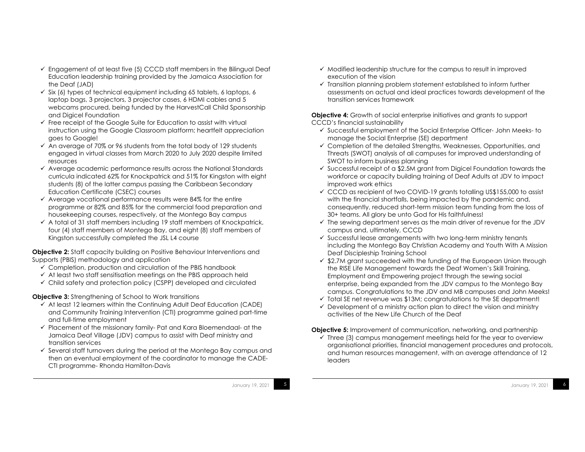- $\checkmark$  Engagement of at least five (5) CCCD staff members in the Bilingual Deaf Education leadership training provided by the Jamaica Association for the Deaf (JAD)
- $\checkmark$  Six (6) types of technical equipment including 65 tablets, 6 laptops, 6 laptop bags, 3 projectors, 3 projector cases, 6 HDMI cables and 5 webcams procured, being funded by the HarvestCall Child Sponsorship and Digicel Foundation
- $\checkmark$  Free receipt of the Google Suite for Education to assist with virtual instruction using the Google Classroom platform; heartfelt appreciation goes to Google!
- $\checkmark$  An average of 70% or 96 students from the total body of 129 students engaged in virtual classes from March 2020 to July 2020 despite limited resources
- $\checkmark$  Average academic performance results across the National Standards curricula indicated 62% for Knockpatrick and 51% for Kingston with eight students (8) of the latter campus passing the Caribbean Secondary Education Certificate (CSEC) courses
- $\checkmark$  Average vocational performance results were 84% for the entire programme or 82% and 85% for the commercial food preparation and housekeeping courses, respectively, at the Montego Bay campus
- $\checkmark$  A total of 31 staff members including 19 staff members of Knockpatrick, four (4) staff members of Montego Bay, and eight (8) staff members of Kingston successfully completed the JSL L4 course

**Objective 2:** Staff capacity building on Positive Behaviour Interventions and Supports (PBIS) methodology and application

- $\checkmark$  Completion, production and circulation of the PBIS handbook
- $\checkmark$  At least two staff sensitisation meetings on the PBIS approach held
- $\checkmark$  Child safety and protection policy (CSPP) developed and circulated

**Objective 3:** Strengthening of School to Work transitions

- $\checkmark$  At least 12 learners within the Continuing Adult Deaf Education (CADE) and Community Training Intervention (CTI) programme gained part-time and full-time employment
- $\checkmark$  Placement of the missionary family- Pat and Kara Bloemendaal- at the Jamaica Deaf Village (JDV) campus to assist with Deaf ministry and transition services
- $\checkmark$  Several staff turnovers during the period at the Montego Bay campus and then an eventual employment of the coordinator to manage the CADE-CTI programme- Rhonda Hamilton-Davis

January 19, 2021

- $\checkmark$  Modified leadership structure for the campus to result in improved execution of the vision
- $\checkmark$  Transition planning problem statement established to inform further assessments on actual and ideal practices towards development of the transition services framework

**Objective 4:** Growth of social enterprise initiatives and grants to support CCCD's financial sustainability

- $\checkmark$  Successful employment of the Social Enterprise Officer- John Meeks- to manage the Social Enterprise (SE) department
- $\checkmark$  Completion of the detailed Strengths, Weaknesses, Opportunities, and Threats (SWOT) analysis of all campuses for improved understanding of SWOT to inform business planning
- $\checkmark$  Successful receipt of a \$2.5M grant from Digicel Foundation towards the workforce or capacity building training of Deaf Adults at JDV to impact improved work ethics
- $\checkmark$  CCCD as recipient of two COVID-19 grants totalling US\$155,000 to assist with the financial shortfalls, being impacted by the pandemic and, consequently, reduced short-term mission team funding from the loss of 30+ teams. All glory be unto God for His faithfulness!
- $\checkmark$  The sewing department serves as the main driver of revenue for the JDV campus and, ultimately, CCCD
- $\checkmark$  Successful lease arrangements with two long-term ministry tenants including the Montego Bay Christian Academy and Youth With A Mission Deaf Discipleship Training School
- $\checkmark$  \$2.7M grant succeeded with the funding of the European Union through the RISE Life Management towards the Deaf Women's Skill Training, Employment and Empowering project through the sewing social enterprise, being expanded from the JDV campus to the Montego Bay campus. Congratulations to the JDV and MB campuses and John Meeks!
- $\checkmark$  Total SE net revenue was \$13M; congratulations to the SE department!
- $\checkmark$  Development of a ministry action plan to direct the vision and ministry activities of the New Life Church of the Deaf

**Objective 5:** Improvement of communication, networking, and partnership

 $\checkmark$  Three (3) campus management meetings held for the year to overview organisational priorities, financial management procedures and protocols, and human resources management, with an average attendance of 12 leaders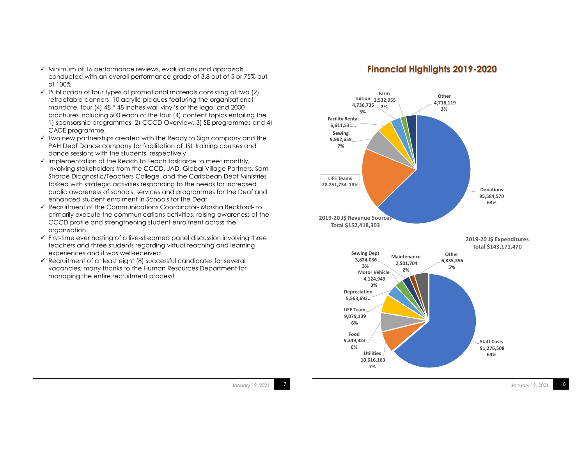- $\checkmark$  Minimum of 16 performance reviews, evaluations and appraisals conducted with an overall performance grade of 3.8 out of 5 or 75% out of 100%
- $\checkmark$  Publication of four types of promotional materials consisting of two (2) retractable banners, 10 acrylic plaques featuring the organisational mandate, four (4) 48 \* 48 inches wall vinyl's of the logo, and 2000 brochures including 500 each of the four (4) content topics entailing the 1) sponsorship programmes, 2) CCCD Overview, 3) SE programmes and 4) CADE programme.
- $\checkmark$  Two new partnerships created with the Ready to Sign company and the PAH Deaf Dance company for facilitation of JSL training courses and dance sessions with the students, respectively
- $\checkmark$  Implementation of the Reach to Teach taskforce to meet monthly, involving stakeholders from the CCCD, JAD, Global Village Partners, Sam Sharpe Diagnostic/Teachers College, and the Caribbean Deaf Ministries tasked with strategic activities responding to the needs for increased public awareness of schools, services and programmes for the Deaf and enhanced student enrolment in Schools for the Deaf
- $\checkmark$  Recruitment of the Communications Coordinator- Marsha Beckford- to primarily execute the communications activities, raising awareness of the CCCD profile and strengthening student enrolment across the organisation
- $\checkmark$  First-time ever hosting of a live-streamed panel discussion involving three teachers and three students regarding virtual teaching and learning experiences and it was well-received
- $\checkmark$  Recruitment of at least eight (8) successful candidates for several vacancies; many thanks to the Human Resources Department for managing the entire recruitment process!

#### **Financial Highlights 2019-2020**



January 19, 2021